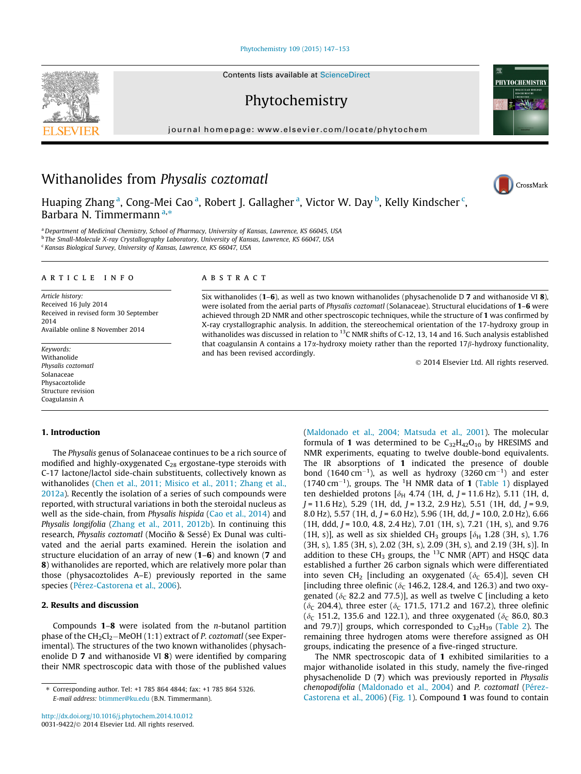[Phytochemistry 109 \(2015\) 147–153](http://dx.doi.org/10.1016/j.phytochem.2014.10.012)

Contents lists available at [ScienceDirect](http://www.sciencedirect.com/science/journal/00319422)

Phytochemistry

journal homepage: [www.elsevier.com/locate/phytochem](http://www.elsevier.com/locate/phytochem)





CrossMark

# Withanolides from Physalis coztomatl

Huaping Zhang<sup>a</sup>, Cong-Mei Cao<sup>a</sup>, Robert J. Gallagher<sup>a</sup>, Victor W. Day<sup>b</sup>, Kelly Kindscher<sup>c</sup>, Barbara N. Timmermann  $a,*$ 

a Department of Medicinal Chemistry, School of Pharmacy, University of Kansas, Lawrence, KS 66045, USA b The Small-Molecule X-ray Crystallography Laboratory, University of Kansas, Lawrence, KS 66047, USA <sup>c</sup> Kansas Biological Survey, University of Kansas, Lawrence, KS 66047, USA

#### article info

Article history: Received 16 July 2014 Received in revised form 30 September 2014 Available online 8 November 2014

Keywords: Withanolide Physalis coztomatl Solanaceae Physacoztolide Structure revision Coagulansin A

#### 1. Introduction

The Physalis genus of Solanaceae continues to be a rich source of modified and highly-oxygenated  $C_{28}$  ergostane-type steroids with C-17 lactone/lactol side-chain substituents, collectively known as withanolides ([Chen et al., 2011; Misico et al., 2011; Zhang et al.,](#page-5-0) [2012a\)](#page-5-0). Recently the isolation of a series of such compounds were reported, with structural variations in both the steroidal nucleus as well as the side-chain, from Physalis hispida ([Cao et al., 2014\)](#page-5-0) and Physalis longifolia [\(Zhang et al., 2011, 2012b](#page-5-0)). In continuing this research, Physalis coztomatl (Mociño & Sessé) Ex Dunal was cultivated and the aerial parts examined. Herein the isolation and structure elucidation of an array of new (1–6) and known (7 and 8) withanolides are reported, which are relatively more polar than those (physacoztolides A–E) previously reported in the same species [\(Pérez-Castorena et al., 2006](#page-5-0)).

# 2. Results and discussion

Compounds  $1-8$  were isolated from the *n*-butanol partition phase of the CH $_2$ Cl $_2-$ MeOH (1:1) extract of *P. coztomatl* (see Experimental). The structures of the two known withanolides (physachenolide D 7 and withanoside VI 8) were identified by comparing their NMR spectroscopic data with those of the published values

## ABSTRACT

Six withanolides (1–6), as well as two known withanolides (physachenolide D 7 and withanoside VI 8), were isolated from the aerial parts of *Physalis coztomatl* (Solanaceae). Structural elucidations of 1–6 were achieved through 2D NMR and other spectroscopic techniques, while the structure of 1 was confirmed by X-ray crystallographic analysis. In addition, the stereochemical orientation of the 17-hydroxy group in withanolides was discussed in relation to <sup>13</sup>C NMR shifts of C-12, 13, 14 and 16. Such analysis established that coagulansin A contains a 17 $\alpha$ -hydroxy moiety rather than the reported 17 $\beta$ -hydroxy functionality, and has been revised accordingly.

- 2014 Elsevier Ltd. All rights reserved.

([Maldonado et al., 2004; Matsuda et al., 2001](#page-5-0)). The molecular formula of 1 was determined to be  $C_{32}H_{42}O_{10}$  by HRESIMS and NMR experiments, equating to twelve double-bond equivalents. The IR absorptions of 1 indicated the presence of double bond (1640 cm<sup>-1</sup>), as well as hydroxy (3260 cm<sup>-1</sup>) and ester (1740 cm $^{-1}$ ), groups. The <sup>1</sup>H NMR data of **1** ([Table 1\)](#page-1-0) displayed ten deshielded protons [ $\delta_H$  4.74 (1H, d, J = 11.6 Hz), 5.11 (1H, d,  $J = 11.6$  Hz), 5.29 (1H, dd,  $J = 13.2$ , 2.9 Hz), 5.51 (1H, dd,  $J = 9.9$ , 8.0 Hz), 5.57 (1H, d,  $J = 6.0$  Hz), 5.96 (1H, dd,  $J = 10.0$ , 2.0 Hz), 6.66  $(1H, ddd, J = 10.0, 4.8, 2.4 Hz), 7.01 (1H, s), 7.21 (1H, s), and 9.76$ (1H, s)], as well as six shielded CH<sub>3</sub> groups  $\delta_H$  1.28 (3H, s), 1.76 (3H, s), 1.85 (3H, s), 2.02 (3H, s), 2.09 (3H, s), and 2.19 (3H, s)]. In addition to these CH<sub>3</sub> groups, the <sup>13</sup>C NMR (APT) and HSQC data established a further 26 carbon signals which were differentiated into seven CH<sub>2</sub> [including an oxygenated ( $\delta_c$  65.4)], seven CH [including three olefinic ( $\delta_c$  146.2, 128.4, and 126.3) and two oxygenated ( $\delta_c$  82.2 and 77.5)], as well as twelve C [including a keto ( $\delta_c$  204.4), three ester ( $\delta_c$  171.5, 171.2 and 167.2), three olefinic ( $\delta_c$  151.2, 135.6 and 122.1), and three oxygenated ( $\delta_c$  86.0, 80.3 and 79.7)] groups, which corresponded to  $C_{32}H_{39}$  [\(Table 2](#page-2-0)). The remaining three hydrogen atoms were therefore assigned as OH groups, indicating the presence of a five-ringed structure.

The NMR spectroscopic data of 1 exhibited similarities to a major withanolide isolated in this study, namely the five-ringed physachenolide D (7) which was previously reported in Physalis chenopodifolia ([Maldonado et al., 2004\)](#page-5-0) and P. coztomatl ([Pérez-](#page-5-0)[Castorena et al., 2006\)](#page-5-0) [\(Fig. 1\)](#page-3-0). Compound 1 was found to contain

<sup>⇑</sup> Corresponding author. Tel: +1 785 864 4844; fax: +1 785 864 5326. E-mail address: [btimmer@ku.edu](mailto:btimmer@ku.edu) (B.N. Timmermann).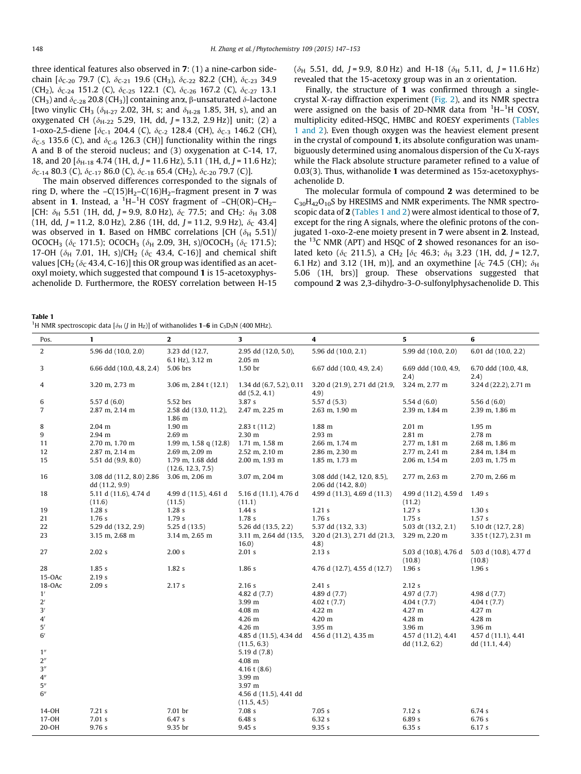<span id="page-1-0"></span>three identical features also observed in 7: (1) a nine-carbon sidechain  $[\delta_{C-20}$  79.7 (C),  $\delta_{C-21}$  19.6 (CH<sub>3</sub>),  $\delta_{C-22}$  82.2 (CH),  $\delta_{C-23}$  34.9 (CH<sub>2</sub>),  $\delta_{C-24}$  151.2 (C),  $\delta_{C-25}$  122.1 (C),  $\delta_{C-26}$  167.2 (C),  $\delta_{C-27}$  13.1 (CH<sub>3</sub>) and  $\delta_{C-28}$  20.8 (CH<sub>3</sub>)] containing anx,  $\beta$ -unsaturated  $\delta$ -lactone [two vinylic CH<sub>3</sub> ( $\delta_{H-27}$  2.02, 3H, s; and  $\delta_{H-28}$  1.85, 3H, s), and an oxygenated CH ( $\delta_{H-22}$  5.29, 1H, dd, J = 13.2, 2.9 Hz)] unit; (2) a 1-oxo-2,5-diene [ $\delta_{C-1}$  204.4 (C),  $\delta_{C-2}$  128.4 (CH),  $\delta_{C-3}$  146.2 (CH),  $\delta_{C-5}$  135.6 (C), and  $\delta_{C-6}$  126.3 (CH)] functionality within the rings A and B of the steroid nucleus; and (3) oxygenation at C-14, 17, 18, and 20  $[\delta_{H-18}$  4.74 (1H, d, J = 11.6 Hz), 5.11 (1H, d, J = 11.6 Hz);  $\delta_{C-14}$  80.3 (C),  $\delta_{C-17}$  86.0 (C),  $\delta_{C-18}$  65.4 (CH<sub>2</sub>),  $\delta_{C-20}$  79.7 (C)].

The main observed differences corresponded to the signals of ring D, where the  $-C(15)H_2-C(16)H_2$ -fragment present in 7 was absent in **1**. Instead, a <sup>1</sup>H–<sup>1</sup>H COSY fragment of –CH(OR)–CH<sub>2</sub>– [CH:  $\delta_H$  5.51 (1H, dd, J = 9.9, 8.0 Hz),  $\delta_C$  77.5; and CH<sub>2</sub>:  $\delta_H$  3.08 (1H, dd, J = 11.2, 8.0 Hz), 2.86 (1H, dd, J = 11.2, 9.9 Hz),  $\delta_c$  43.4] was observed in 1. Based on HMBC correlations [CH  $(\delta_{\rm H}$  5.51)/ OCOCH<sub>3</sub> ( $\delta_c$  171.5); OCOCH<sub>3</sub> ( $\delta_H$  2.09, 3H, s)/OCOCH<sub>3</sub> ( $\delta_c$  171.5); 17-OH ( $\delta_{\rm H}$  7.01, 1H, s)/CH<sub>2</sub> ( $\delta_{\rm C}$  43.4, C-16)] and chemical shift values [CH<sub>2</sub> ( $\delta$ <sub>C</sub> 43.4, C-16)] this OR group was identified as an acetoxyl moiety, which suggested that compound 1 is 15-acetoxyphysachenolide D. Furthermore, the ROESY correlation between H-15

 $(\delta_H$  5.51, dd, J = 9.9, 8.0 Hz) and H-18 ( $\delta_H$  5.11, d, J = 11.6 Hz) revealed that the 15-acetoxy group was in an  $\alpha$  orientation.

Finally, the structure of 1 was confirmed through a singlecrystal X-ray diffraction experiment ([Fig. 2\)](#page-3-0), and its NMR spectra were assigned on the basis of 2D-NMR data from  ${}^{1}$ H- ${}^{1}$ H COSY, multiplicity edited-HSQC, HMBC and ROESY experiments (Tables 1 and 2). Even though oxygen was the heaviest element present in the crystal of compound 1, its absolute configuration was unambiguously determined using anomalous dispersion of the Cu X-rays while the Flack absolute structure parameter refined to a value of 0.03(3). Thus, withanolide 1 was determined as  $15\alpha$ -acetoxyphysachenolide D.

The molecular formula of compound 2 was determined to be  $C_{30}H_{42}O_{10}S$  by HRESIMS and NMR experiments. The NMR spectroscopic data of 2 (Tables 1 and 2) were almost identical to those of 7, except for the ring A signals, where the olefinic protons of the conjugated 1-oxo-2-ene moiety present in 7 were absent in 2. Instead, the  $^{13}$ C NMR (APT) and HSQC of 2 showed resonances for an isolated keto ( $\delta_c$  211.5), a CH<sub>2</sub> [ $\delta_c$  46.3;  $\delta_H$  3.23 (1H, dd, J = 12.7, 6.1 Hz) and 3.12 (1H, m)], and an oxymethine [ $\delta$ <sub>C</sub> 74.5 (CH);  $\delta$ <sub>H</sub> 5.06 (1H, brs)] group. These observations suggested that compound 2 was 2,3-dihydro-3-O-sulfonylphysachenolide D. This

Table 1

| <sup>1</sup> H NMR spectroscopic data [ $\delta_H$ ( <i>J</i> in H <sub>z</sub> )] of withanolides <b>1–6</b> in C <sub>5</sub> D <sub>5</sub> N (400 MHz). |  |  |
|-------------------------------------------------------------------------------------------------------------------------------------------------------------|--|--|
|-------------------------------------------------------------------------------------------------------------------------------------------------------------|--|--|

| $\mathbf{2}$<br>3<br>5<br>$\mathbf{1}$<br>4<br>6<br>Pos.<br>2<br>5.96 dd (10.0, 2.1)<br>5.96 dd (10.0, 2.0)<br>3.23 dd (12.7,<br>2.95 dd (12.0, 5.0),<br>5.99 dd (10.0, 2.0)            |                       |  |
|-----------------------------------------------------------------------------------------------------------------------------------------------------------------------------------------|-----------------------|--|
|                                                                                                                                                                                         |                       |  |
| 6.1 Hz), 3.12 m<br>$2.05 \; m$                                                                                                                                                          | 6.01 dd (10.0, 2.2)   |  |
| 3<br>5.06 brs<br>1.50 <sub>pr</sub><br>6.69 ddd (10.0, 4.9,<br>6.66 ddd (10.0, 4.8, 2.4)<br>$6.67$ ddd $(10.0, 4.9, 2.4)$<br>(2.4)<br>(2.4)                                             | 6.70 ddd (10.0, 4.8,  |  |
| 3.20 m, 2.73 m<br>3.06 m, $2.84$ t (12.1)<br>1.34 dd (6.7, 5.2), 0.11<br>3.20 d (21.9), 2.71 dd (21.9,<br>3.24 m, 2.77 m<br>4<br>dd(5.2, 4.1)<br>(4.9)                                  | 3.24 d (22.2), 2.71 m |  |
| 6<br>5.52 brs<br>3.87s<br>5.57 d (5.3)<br>5.57 d $(6.0)$<br>5.54 d $(6.0)$<br>5.56 d $(6.0)$                                                                                            |                       |  |
| $\overline{7}$<br>2.87 m, 2.14 m<br>2.39 m, 1.84 m<br>2.58 dd (13.0, 11.2),<br>2.47 m, 2.25 m<br>2.63 m, 1.90 m<br>2.39 m, 1.86 m<br>1.86 m                                             |                       |  |
| 8<br>$2.04 \text{ m}$<br>1.90 <sub>m</sub><br>2.83 t (11.2)<br>1.88 m<br>2.01 m<br>$1.95$ m                                                                                             |                       |  |
| 9<br>2.30 m<br>2.93 m<br>2.81 m<br>2.78 m<br>2.94 m<br>2.69 <sub>m</sub>                                                                                                                |                       |  |
| 2.70 m, 1.70 m<br>1.99 m, 1.58 q $(12.8)$<br>2.66 m, 1.74 m<br>2.77 m, 1.81 m<br>11<br>1.71 m, 1.58 m<br>2.68 m, 1.86 m                                                                 |                       |  |
| 12<br>2.87 m, 2.14 m<br>2.69 m, 2.09 m<br>2.52 m, 2.10 m<br>2.86 m, 2.30 m<br>2.77 m, 2.41 m<br>2.84 m, 1.84 m                                                                          |                       |  |
| 15<br>5.51 dd (9.9, 8.0)<br>1.79 m, 1.68 ddd<br>2.00 m, 1.93 m<br>1.85 m, 1.73 m<br>2.06 m, 1.54 m<br>2.03 m, 1.75 m<br>(12.6, 12.3, 7.5)                                               |                       |  |
| 16<br>3.06 m, 2.06 m<br>3.07 m, 2.04 m<br>2.77 m, 2.63 m<br>2.70 m, 2.66 m<br>3.08 dd (11.2, 8.0) 2.86<br>3.08 ddd (14.2, 12.0, 8.5),<br>dd (11.2, 9.9)<br>2.06 dd (14.2, 8.0)          |                       |  |
| 4.99 d (11.5), 4.61 d<br>5.16 d (11.1), 4.76 d<br>4.99 d (11.3), 4.69 d (11.3)<br>4.99 d (11.2), 4.59 d<br>1.49s<br>18<br>5.11 d (11.6), 4.74 d<br>(11.6)<br>(11.5)<br>(11.1)<br>(11.2) |                       |  |
| 1.21 s<br>1.27s<br>19<br>1.28 <sub>s</sub><br>1.28 <sub>s</sub><br>1.44 s<br>1.30 s                                                                                                     |                       |  |
| 1.78s<br>1.76s<br>1.75s<br>21<br>1.76s<br>1.79s<br>1.57s                                                                                                                                |                       |  |
| 5.29 dd (13.2, 2.9)<br>5.26 dd (13.5, 2.2)<br>5.03 dt (13.2, 2.1)<br>22<br>5.25 d (13.5)<br>5.37 dd (13.2, 3.3)                                                                         | 5.10 dt (12.7, 2.8)   |  |
| 23<br>3.15 m, 2.68 m<br>3.14 m, 2.65 m<br>3.11 m, 2.64 dd (13.5,<br>3.20 d (21.3), 2.71 dd (21.3,<br>3.29 m, 2.20 m<br>3.35 t (12.7), 2.31 m<br>16.0)<br>4.8)                           |                       |  |
| 2.01 s<br>27<br>2.02 s<br>2.00 s<br>2.13s<br>5.03 d (10.8), 4.76 d<br>5.03 d (10.8), 4.77 d<br>(10.8)<br>(10.8)                                                                         |                       |  |
| 1.82s<br>1.86s<br>1.96s<br>28<br>1.85 s<br>4.76 d (12.7), 4.55 d (12.7)<br>1.96s                                                                                                        |                       |  |
| $15-OAC$<br>2.19s                                                                                                                                                                       |                       |  |
| 18-OAc<br>2.09 s<br>2.16s<br>2.17 s<br>2.41 s<br>2.12s                                                                                                                                  |                       |  |
| 1'<br>4.82 d (7.7)<br>4.89 d (7.7)<br>4.97 d (7.7)<br>4.98 d (7.7)                                                                                                                      |                       |  |
| $2^{\prime}$<br>3.99 m<br>4.02 t (7.7)<br>4.04 t (7.7)<br>4.04 t (7.7)                                                                                                                  |                       |  |
| 3'<br>4.08 m<br>4.22 m<br>4.27 m<br>4.27 m                                                                                                                                              |                       |  |
| $4^{\prime}$<br>4.26 m<br>4.20 m<br>4.28 m<br>4.28 m                                                                                                                                    |                       |  |
| $5^{\prime}$<br>4.26 m<br>3.95 m<br>3.96 m<br>3.96 m                                                                                                                                    |                       |  |
| 6'<br>4.56 d (11.2), 4.35 m<br>4.85 d (11.5), 4.34 dd<br>4.57 d (11.2), 4.41<br>4.57 d (11.1), 4.41<br>(11.5, 6.3)<br>dd (11.2, 6.2)<br>dd(11.1, 4.4)                                   |                       |  |
| 1 <sup>''</sup><br>5.19 d (7.8)                                                                                                                                                         |                       |  |
| 2 <sup>''</sup><br>4.08 m                                                                                                                                                               |                       |  |
| 3''<br>4.16 t $(8.6)$                                                                                                                                                                   |                       |  |
| $4^{\prime\prime}$<br>3.99 m                                                                                                                                                            |                       |  |
| 5''<br>3.97 m                                                                                                                                                                           |                       |  |
| 6''<br>4.56 d (11.5), 4.41 dd<br>(11.5, 4.5)                                                                                                                                            |                       |  |
| 14-0H<br>7.21 s<br>7.01 br<br>7.08 s<br>7.05 s<br>7.12s<br>6.74 s                                                                                                                       |                       |  |
| 17-0H<br>7.01 s<br>6.48s<br>6.32s<br>6.89s<br>6.47s<br>6.76 s                                                                                                                           |                       |  |
| 20-OH<br>9.76s<br>9.35 br<br>9.45s<br>9.35 s<br>6.35 s<br>6.17 s                                                                                                                        |                       |  |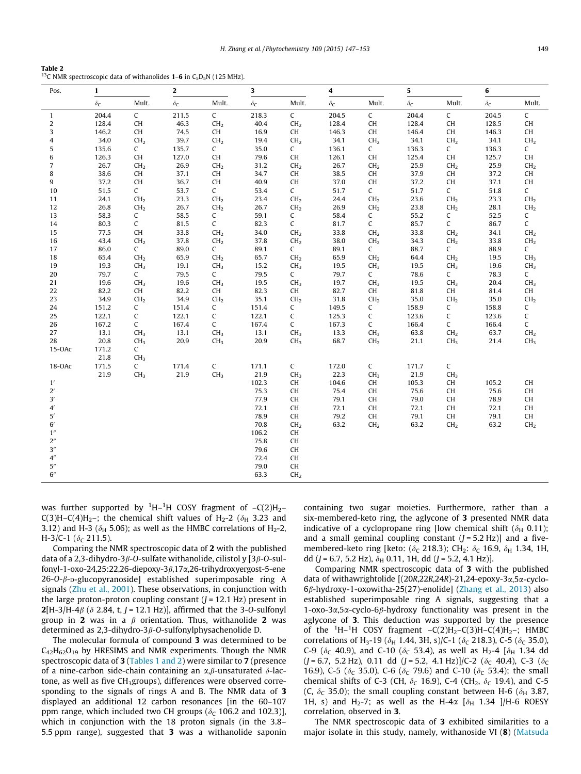<span id="page-2-0"></span>Table 2 <sup>13</sup>C NMR spectroscopic data of withanolides **1–6** in C<sub>5</sub>D<sub>5</sub>N (125 MHz).

| Pos.               | $\mathbf{1}$       |                 | $\mathbf 2$        |                 | 3                  |                 | 4                  |                 | 5          |                 | 6          |                                          |
|--------------------|--------------------|-----------------|--------------------|-----------------|--------------------|-----------------|--------------------|-----------------|------------|-----------------|------------|------------------------------------------|
|                    | $\delta\mathsf{c}$ | Mult.           | $\delta\mathsf{c}$ | Mult.           | $\delta\mathrm{c}$ | Mult.           | $\delta\mathsf{c}$ | Mult.           | $\delta c$ | Mult.           | $\delta c$ | Mult.                                    |
| $\mathbf{1}$       | 204.4              | $\mathsf{C}$    | 211.5              | C               | 218.3              | $\mathsf{C}$    | 204.5              | $\mathsf C$     | 204.4      | $\mathsf{C}$    | 204.5      | $\mathsf C$                              |
| $\overline{c}$     | 128.4              | CH              | 46.3               | CH <sub>2</sub> | 40.4               | CH <sub>2</sub> | 128.4              | CH              | 128.4      | CH              | 128.5      | CH                                       |
| 3                  | 146.2              | CH              | 74.5               | CH              | 16.9               | CH              | 146.3              | CH              | 146.4      | CH              | 146.3      | CH                                       |
| 4                  | 34.0               | CH <sub>2</sub> | 39.7               | CH <sub>2</sub> | 19.4               | CH <sub>2</sub> | 34.1               | CH <sub>2</sub> | 34.1       | CH <sub>2</sub> | 34.1       | CH <sub>2</sub>                          |
| 5                  | 135.6              | $\mathsf{C}$    | 135.7              | C               | 35.0               | C               | 136.1              | $\mathsf{C}$    | 136.3      | $\mathsf{C}$    | 136.3      | C                                        |
| 6                  | 126.3              | CH              | 127.0              | CH              | 79.6               | CH              | 126.1              | CH              | 125.4      | CH              | 125.7      | CH                                       |
| $\overline{7}$     | 26.7               | CH <sub>2</sub> | 26.9               | CH <sub>2</sub> | 31.2               | CH <sub>2</sub> | 26.7               | CH <sub>2</sub> | 25.9       | CH <sub>2</sub> | 25.9       | CH <sub>2</sub>                          |
| 8                  | 38.6               | CH              | 37.1               | CH              | 34.7               | CH              | 38.5               | CH              | 37.9       | CH              | 37.2       | $\mathsf{CH}% \left( \mathcal{M}\right)$ |
| 9                  | 37.2               | CH              | 36.7               | CH              | 40.9               | CH              | 37.0               | CH              | 37.2       | CH              | 37.1       | CH                                       |
| 10                 | 51.5               | $\mathsf{C}$    | 53.7               | $\mathsf{C}$    | 53.4               | $\mathsf{C}$    | 51.7               | $\mathsf{C}$    | 51.7       | $\mathsf{C}$    | 51.8       | C                                        |
| 11                 | 24.1               | CH <sub>2</sub> | 23.3               | CH <sub>2</sub> | 23.4               | CH <sub>2</sub> | 24.4               | CH <sub>2</sub> | 23.6       | CH <sub>2</sub> | 23.3       | CH <sub>2</sub>                          |
| 12                 | 26.8               | CH <sub>2</sub> | 26.7               | CH <sub>2</sub> | 26.7               | CH <sub>2</sub> | 26.9               | CH <sub>2</sub> | 23.8       | CH <sub>2</sub> | 28.1       | CH <sub>2</sub>                          |
| 13                 | 58.3               | $\mathsf{C}$    | 58.5               | C               | 59.1               | C               | 58.4               | $\mathsf{C}$    | 55.2       | $\mathsf{C}$    | 52.5       | C                                        |
| 14                 | 80.3               | $\mathsf{C}$    | 81.5               | C               | 82.3               | C               | 81.7               | $\mathsf{C}$    | 85.7       | $\mathsf C$     | 86.7       | C                                        |
| 15                 | 77.5               | CH              | 33.8               | CH <sub>2</sub> | 34.0               | CH <sub>2</sub> | 33.8               | CH <sub>2</sub> | 33.8       | CH <sub>2</sub> | 34.1       | CH <sub>2</sub>                          |
| 16                 | 43.4               | CH <sub>2</sub> | 37.8               | CH <sub>2</sub> | 37.8               | CH <sub>2</sub> | 38.0               | CH <sub>2</sub> | 34.3       | CH <sub>2</sub> | 33.8       | CH <sub>2</sub>                          |
| 17                 | 86.0               | $\mathsf{C}$    | 89.0               | C               | 89.1               | $\mathsf{C}$    | 89.1               | $\mathsf{C}$    | 88.7       | $\mathsf{C}$    | 88.9       | C                                        |
| 18                 | 65.4               | CH <sub>2</sub> | 65.9               | CH <sub>2</sub> | 65.7               | CH <sub>2</sub> | 65.9               | CH <sub>2</sub> | 64.4       | CH <sub>2</sub> | 19.5       | CH <sub>3</sub>                          |
| 19                 | 19.3               | CH <sub>3</sub> | 19.1               | CH <sub>3</sub> | 15.2               | CH <sub>3</sub> | 19.5               | CH <sub>3</sub> | 19.5       | CH <sub>3</sub> | 19.6       | CH <sub>3</sub>                          |
| 20                 | 79.7               | $\mathsf{C}$    | 79.5               | C               | 79.5               | C               | 79.7               | $\mathsf{C}$    | 78.6       | $\mathsf{C}$    | 78.3       | $\mathsf{C}$                             |
| 21                 | 19.6               | CH <sub>3</sub> | 19.6               | CH <sub>3</sub> | 19.5               | CH <sub>3</sub> | 19.7               | CH <sub>3</sub> | 19.5       | CH <sub>3</sub> | 20.4       | CH <sub>3</sub>                          |
| 22                 | 82.2               | CH              | 82.2               | CH              | 82.3               | CH              | 82.7               | CH              | 81.8       | CH              | 81.4       | CH                                       |
| 23                 | 34.9               | CH <sub>2</sub> | 34.9               | CH <sub>2</sub> | 35.1               | CH <sub>2</sub> | 31.8               | CH <sub>2</sub> | 35.0       | CH <sub>2</sub> | 35.0       | CH <sub>2</sub>                          |
| 24                 | 151.2              | C               | 151.4              | C               | 151.4              | C               | 149.5              | $\mathsf{C}$    | 158.9      | C               | 158.8      | C                                        |
| 25                 | 122.1              | $\mathsf C$     | 122.1              | C               | 122.1              | C               | 125.3              | C               | 123.6      | C               | 123.6      | $\mathsf C$                              |
| 26                 | 167.2              | $\mathsf{C}$    | 167.4              | C               | 167.4              | C               | 167.3              | $\mathsf{C}$    | 166.4      | C               | 166.4      | C                                        |
| 27                 | 13.1               | CH <sub>3</sub> | 13.1               | CH <sub>3</sub> | 13.1               | CH <sub>3</sub> | 13.3               | CH <sub>3</sub> | 63.8       | CH <sub>2</sub> | 63.7       | CH <sub>2</sub>                          |
| 28                 | 20.8               | CH <sub>3</sub> | 20.9               | CH <sub>3</sub> | 20.9               | CH <sub>3</sub> | 68.7               | CH <sub>2</sub> | 21.1       | CH <sub>3</sub> | 21.4       | CH <sub>3</sub>                          |
| $15-OAC$           | 171.2              | $\mathsf{C}$    |                    |                 |                    |                 |                    |                 |            |                 |            |                                          |
|                    | 21.8               | CH <sub>3</sub> |                    |                 |                    |                 |                    |                 |            |                 |            |                                          |
| 18-OAc             | 171.5              | $\mathsf{C}$    | 171.4              | $\mathsf C$     | 171.1              | $\mathsf{C}$    | 172.0              | $\mathsf C$     | 171.7      | $\mathsf{C}$    |            |                                          |
|                    | 21.9               | CH <sub>3</sub> | 21.9               | CH <sub>3</sub> | 21.9               | CH <sub>3</sub> | 22.3               | CH <sub>3</sub> | 21.9       | CH <sub>3</sub> |            |                                          |
| 1'                 |                    |                 |                    |                 | 102.3              | CH              | 104.6              | CH              | 105.3      | CH              | 105.2      | CH                                       |
| $2^{\prime}$       |                    |                 |                    |                 | 75.3               | CH              | 75.4               | CH              | 75.6       | CH              | 75.6       | CH                                       |
| 3'                 |                    |                 |                    |                 | 77.9               | CH              | 79.1               | CH              | 79.0       | CH              | 78.9       | CH                                       |
| $4^{\prime}$       |                    |                 |                    |                 | 72.1               | CH              | 72.1               | CH              | 72.1       | CH              | 72.1       | CH                                       |
| $5^{\prime}$       |                    |                 |                    |                 | 78.9               | CH              | 79.2               | CH              | 79.1       | CH              | 79.1       | CH                                       |
| 6'                 |                    |                 |                    |                 | 70.8               | CH <sub>2</sub> | 63.2               | CH <sub>2</sub> | 63.2       | CH <sub>2</sub> | 63.2       | CH <sub>2</sub>                          |
| 1 <sup>''</sup>    |                    |                 |                    |                 | 106.2              | CH              |                    |                 |            |                 |            |                                          |
| $2^{\prime\prime}$ |                    |                 |                    |                 | 75.8               | CH              |                    |                 |            |                 |            |                                          |
| 3''                |                    |                 |                    |                 | 79.6               | CH              |                    |                 |            |                 |            |                                          |
| $4^{\prime\prime}$ |                    |                 |                    |                 | 72.4               | CH              |                    |                 |            |                 |            |                                          |
| 5''                |                    |                 |                    |                 | 79.0               | CH              |                    |                 |            |                 |            |                                          |
| 6''                |                    |                 |                    |                 | 63.3               | CH <sub>2</sub> |                    |                 |            |                 |            |                                          |

was further supported by  ${}^{1}H-{}^{1}H$  COSY fragment of  $-C(2)H_{2}-$ C(3)H–C(4)H<sub>2</sub>–; the chemical shift values of H<sub>2</sub>-2 ( $\delta$ <sub>H</sub> 3.23 and 3.12) and H-3 ( $\delta$ <sub>H</sub> 5.06); as well as the HMBC correlations of H<sub>2</sub>-2, H-3/C-1 ( $\delta_c$  211.5).

Comparing the NMR spectroscopic data of 2 with the published data of a 2,3-dihydro-3 $\beta$ -O-sulfate withanolide, cilistol y [3 $\beta$ -O-sulfonyl-1-oxo-24,25:22,26-diepoxy-3 $\beta$ ,17 $\alpha$ ,26-trihydroxyergost-5-ene  $26$ -O- $\beta$ -D-glucopyranoside] established superimposable ring A signals [\(Zhu et al., 2001\)](#page-6-0). These observations, in conjunction with the large proton-proton coupling constant  $(J = 12.1 \text{ Hz})$  present in **2**[H-3/H-4 $\beta$  ( $\delta$  2.84, t, J = 12.1 Hz)], affirmed that the 3-O-sulfonyl group in 2 was in a  $\beta$  orientation. Thus, withanolide 2 was determined as 2,3-dihydro-3 $\beta$ -O-sulfonylphysachenolide D.

The molecular formula of compound 3 was determined to be  $C_{42}H_{62}O_{19}$  by HRESIMS and NMR experiments. Though the NMR spectroscopic data of 3 [\(Tables 1 and 2\)](#page-1-0) were similar to 7 (presence of a nine-carbon side-chain containing an  $\alpha$ , $\beta$ -unsaturated  $\delta$ -lactone, as well as five CH<sub>3</sub>groups), differences were observed corresponding to the signals of rings A and B. The NMR data of 3 displayed an additional 12 carbon resonances [in the 60–107 ppm range, which included two CH groups ( $\delta_c$  106.2 and 102.3)], which in conjunction with the 18 proton signals (in the 3.8– 5.5 ppm range), suggested that 3 was a withanolide saponin containing two sugar moieties. Furthermore, rather than a six-membered-keto ring, the aglycone of 3 presented NMR data indicative of a cyclopropane ring [low chemical shift ( $\delta_H$  0.11); and a small geminal coupling constant  $(J = 5.2 \text{ Hz})$ ] and a fivemembered-keto ring [keto: ( $\delta_c$  218.3); CH<sub>2</sub>:  $\delta_c$  16.9,  $\delta_H$  1.34, 1H, dd (J = 6.7, 5.2 Hz),  $\delta_H$  0.11, 1H, dd (J = 5.2, 4.1 Hz)].

Comparing NMR spectroscopic data of 3 with the published data of withawrightolide [(20R,22R,24R)-21,24-epoxy-3a,5a-cyclo- $6\beta$ -hydroxy-1-oxowitha-25(27)-enolide] [\(Zhang et al., 2013](#page-6-0)) also established superimposable ring A signals, suggesting that a  $1-\alpha$ xo-3 $\alpha$ ,5 $\alpha$ -cyclo-6 $\beta$ -hydroxy functionality was present in the aglycone of 3. This deduction was supported by the presence of the  ${}^{1}H-{}^{1}H$  COSY fragment  $-C(2)H_{2}-C(3)H-C(4)H_{2}$ ; HMBC correlations of H<sub>3</sub>-19 ( $\delta_H$  1.44, 3H, s)/C-1 ( $\delta_C$  218.3), C-5 ( $\delta_C$  35.0), C-9 ( $\delta$ <sub>C</sub> 40.9), and C-10 ( $\delta$ <sub>C</sub> 53.4), as well as H<sub>2</sub>-4 [ $\delta$ <sub>H</sub> 1.34 dd  $(J = 6.7, 5.2 \text{ Hz})$ , 0.11 dd  $(J = 5.2, 4.1 \text{ Hz})/C$ -2 ( $\delta_C$  40.4), C-3 ( $\delta_C$ 16.9), C-5 ( $\delta_c$  35.0), C-6 ( $\delta_c$  79.6) and C-10 ( $\delta_c$  53.4); the small chemical shifts of C-3 (CH,  $\delta$ <sub>C</sub> 16.9), C-4 (CH<sub>2</sub>,  $\delta$ <sub>C</sub> 19.4), and C-5 (C,  $\delta$ <sub>C</sub> 35.0); the small coupling constant between H-6 ( $\delta$ <sub>H</sub> 3.87, 1H, s) and H<sub>2</sub>-7; as well as the H-4 $\alpha$  [ $\delta$ <sub>H</sub> 1.34 ]/H-6 ROESY correlation, observed in 3.

The NMR spectroscopic data of 3 exhibited similarities to a major isolate in this study, namely, withanoside VI (8) ([Matsuda](#page-5-0)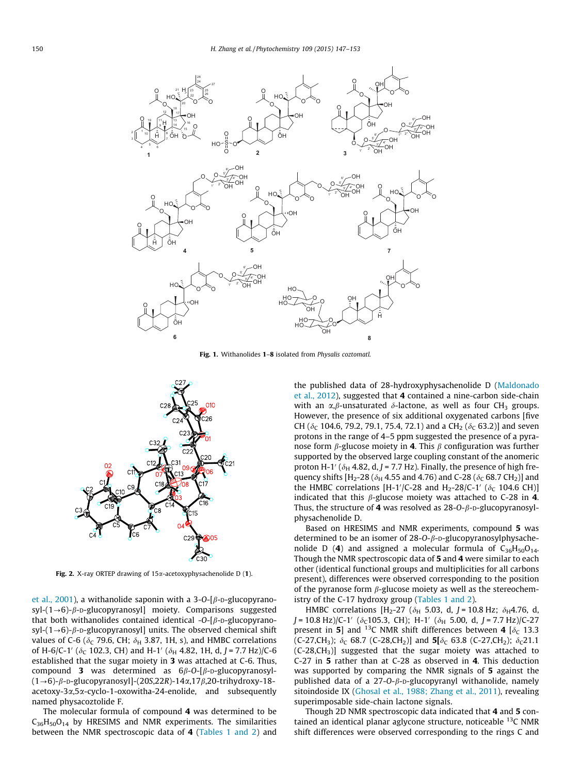<span id="page-3-0"></span>

Fig. 1. Withanolides 1–8 isolated from Physalis coztomatl.



Fig. 2. X-ray ORTEP drawing of  $15\alpha$ -acetoxyphysachenolide D (1).

[et al., 2001](#page-5-0)), a withanolide saponin with a 3-O-[ $\beta$ -D-glucopyranosyl- $(1\rightarrow 6)$ - $\beta$ - $D$ -glucopyranosyl] moiety. Comparisons suggested that both withanolides contained identical -O- $\beta$ -D-glucopyranosyl- $(1\rightarrow 6)$ - $\beta$ -D-glucopyranosyl] units. The observed chemical shift values of C-6 ( $\delta$ <sub>C</sub> 79.6, CH;  $\delta$ <sub>H</sub> 3.87, 1H, s), and HMBC correlations of H-6/C-1' ( $\delta_C$  102.3, CH) and H-1' ( $\delta_H$  4.82, 1H, d, J = 7.7 Hz)/C-6 established that the sugar moiety in 3 was attached at C-6. Thus, compound 3 was determined as  $6\beta$ -O-[ $\beta$ -D-glucopyranosyl- $(1\rightarrow6)$ - $\beta$ -D-glucopyranosyl]-(20S,22R)-14 $\alpha$ ,17 $\beta$ ,20-trihydroxy-18acetoxy-3a,5a-cyclo-1-oxowitha-24-enolide, and subsequently named physacoztolide F.

The molecular formula of compound 4 was determined to be  $C_{36}H_{50}O_{14}$  by HRESIMS and NMR experiments. The similarities between the NMR spectroscopic data of 4 [\(Tables 1 and 2](#page-1-0)) and the published data of 28-hydroxyphysachenolide D [\(Maldonado](#page-5-0) [et al., 2012](#page-5-0)), suggested that 4 contained a nine-carbon side-chain with an  $\alpha$ , $\beta$ -unsaturated  $\delta$ -lactone, as well as four CH<sub>3</sub> groups. However, the presence of six additional oxygenated carbons [five CH ( $\delta_c$  104.6, 79.2, 79.1, 75.4, 72.1) and a CH<sub>2</sub> ( $\delta_c$  63.2)] and seven protons in the range of 4–5 ppm suggested the presence of a pyranose form  $\beta$ -glucose moiety in **4**. This  $\beta$  configuration was further supported by the observed large coupling constant of the anomeric proton H-1' ( $\delta_H$  4.82, d, J = 7.7 Hz). Finally, the presence of high frequency shifts [H<sub>2</sub>-28 ( $\delta_H$  4.55 and 4.76) and C-28 ( $\delta_C$  68.7 CH<sub>2</sub>)] and the HMBC correlations [H-1'/C-28 and H<sub>2</sub>-28/C-1' ( $\delta$ <sub>C</sub> 104.6 CH)] indicated that this  $\beta$ -glucose moiety was attached to C-28 in 4. Thus, the structure of 4 was resolved as  $28$ -O- $\beta$ -D-glucopyranosylphysachenolide D.

Based on HRESIMS and NMR experiments, compound 5 was determined to be an isomer of  $28$ -O- $\beta$ -D-glucopyranosylphysachenolide D (4) and assigned a molecular formula of  $C_{36}H_{50}O_{14}$ . Though the NMR spectroscopic data of 5 and 4 were similar to each other (identical functional groups and multiplicities for all carbons present), differences were observed corresponding to the position of the pyranose form  $\beta$ -glucose moiety as well as the stereochemistry of the C-17 hydroxy group [\(Tables 1 and 2\)](#page-1-0).

HMBC correlations [H<sub>2</sub>-27 ( $\delta$ <sub>H</sub> 5.03, d, J = 10.8 Hz;  $\delta$ <sub>H</sub>4.76, d,  $J = 10.8$  Hz)/C-1' ( $\delta$ <sub>C</sub>105.3, CH); H-1' ( $\delta$ <sub>H</sub> 5.00, d, J = 7.7 Hz)/C-27 present in 5] and <sup>13</sup>C NMR shift differences between 4 [ $\delta$ <sub>C</sub> 13.3 (C-27,CH<sub>3</sub>);  $\delta_C$  68.7 (C-28,CH<sub>2</sub>)] and **5[** $\delta_C$  63.8 (C-27,CH<sub>2</sub>);  $\delta_C$ 21.1  $(C-28, CH<sub>3</sub>)$ ] suggested that the sugar moiety was attached to C-27 in 5 rather than at C-28 as observed in 4. This deduction was supported by comparing the NMR signals of 5 against the published data of a  $27$ -O- $\beta$ -D-glucopyranyl withanolide, namely sitoindoside IX [\(Ghosal et al., 1988; Zhang et al., 2011](#page-5-0)), revealing superimposable side-chain lactone signals.

Though 2D NMR spectroscopic data indicated that 4 and 5 contained an identical planar aglycone structure, noticeable  $^{13}$ C NMR shift differences were observed corresponding to the rings C and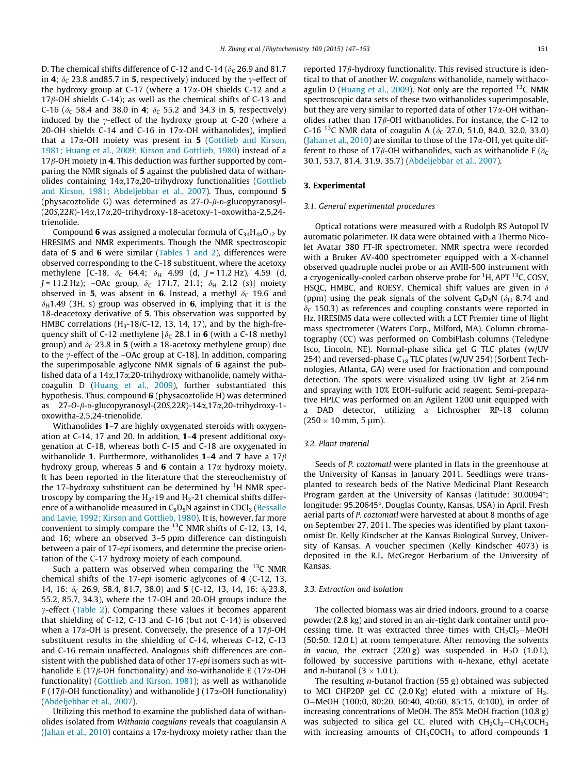D. The chemical shifts difference of C-12 and C-14 ( $\delta_c$  26.9 and 81.7 in 4;  $\delta_c$  23.8 and 85.7 in 5, respectively) induced by the  $\gamma$ -effect of the hydroxy group at C-17 (where a  $17\alpha$ -OH shields C-12 and a  $17\beta$ -OH shields C-14); as well as the chemical shifts of C-13 and C-16 ( $\delta_c$  58.4 and 38.0 in **4**;  $\delta_c$  55.2 and 34.3 in **5**, respectively) induced by the  $\gamma$ -effect of the hydroxy group at C-20 (where a 20-OH shields C-14 and C-16 in  $17\alpha$ -OH withanolides), implied that a 17 $\alpha$ -OH moiety was present in 5 ([Gottlieb and Kirson,](#page-5-0) [1981; Huang et al., 2009; Kirson and Gottlieb, 1980](#page-5-0)) instead of a  $17\beta$ -OH moiety in 4. This deduction was further supported by comparing the NMR signals of 5 against the published data of withanolides containing 14a,17a,20-trihydroxy functionalities [\(Gottlieb](#page-5-0) [and Kirson, 1981; Abdeljebbar et al., 2007](#page-5-0)). Thus, compound 5 (physacoztolide G) was determined as  $27$ -O- $\beta$ -D-glucopyranosyl-(20S,22R)-14a,17a,20-trihydroxy-18-acetoxy-1-oxowitha-2,5,24 trienolide.

Compound 6 was assigned a molecular formula of  $C_{34}H_{48}O_{12}$  by HRESIMS and NMR experiments. Though the NMR spectroscopic data of 5 and 6 were similar [\(Tables 1 and 2](#page-1-0)), differences were observed corresponding to the C-18 substituent, where the acetoxy methylene [C-18,  $\delta_c$  64.4;  $\delta_H$  4.99 (d, J = 11.2 Hz), 4.59 (d,  $J = 11.2 \text{ Hz}$ ; –OAc group,  $\delta_c$  171.7, 21.1;  $\delta_H$  2.12 (s)] moiety observed in 5, was absent in 6. Instead, a methyl  $\delta_c$  19.6 and  $\delta_H$ 1.49 (3H, s) group was observed in 6, implying that it is the 18-deacetoxy derivative of 5. This observation was supported by HMBC correlations ( $H_3$ -18/C-12, 13, 14, 17), and by the high-frequency shift of C-12 methylene  $\delta_c$  28.1 in 6 (with a C-18 methyl group) and  $\delta_c$  23.8 in 5 (with a 18-acetoxy methylene group) due to the  $\gamma$ -effect of the –OAc group at C-18]. In addition, comparing the superimposable aglycone NMR signals of 6 against the published data of a  $14\alpha$ ,17 $\alpha$ ,20-trihydroxy withanolide, namely withacoagulin D [\(Huang et al., 2009](#page-5-0)), further substantiated this hypothesis. Thus, compound 6 (physacoztolide H) was determined as  $27$ -O- $\beta$ -D-glucopyranosyl-(20S,22R)-14 $\alpha$ ,17 $\alpha$ ,20-trihydroxy-1oxowitha-2,5,24-trienolide.

Withanolides 1–7 are highly oxygenated steroids with oxygenation at C-14, 17 and 20. In addition, 1–4 present additional oxygenation at C-18, whereas both C-15 and C-18 are oxygenated in withanolide 1. Furthermore, withanolides  $1-4$  and 7 have a  $17\beta$ hydroxy group, whereas **5** and **6** contain a 17 $\alpha$  hydroxy moiety. It has been reported in the literature that the stereochemistry of the 17-hydroxy substituent can be determined by  $^{1}$ H NMR spectroscopy by comparing the  $H_3$ -19 and  $H_3$ -21 chemical shifts difference of a withanolide measured in  $C_5D_5N$  against in CDCl<sub>3</sub> ([Bessalle](#page-5-0) [and Lavie, 1992; Kirson and Gottlieb, 1980\)](#page-5-0). It is, however, far more convenient to simply compare the  $^{13}$ C NMR shifts of C-12, 13, 14, and 16; where an observed 3–5 ppm difference can distinguish between a pair of 17-epi isomers, and determine the precise orientation of the C-17 hydroxy moiety of each compound.

Such a pattern was observed when comparing the  $^{13}$ C NMR chemical shifts of the 17-epi isomeric aglycones of 4 (C-12, 13, 14, 16:  $\delta_c$  26.9, 58.4, 81.7, 38.0) and 5 (C-12, 13, 14, 16:  $\delta_c$ 23.8, 55.2, 85.7, 34.3), where the 17-OH and 20-OH groups induce the  $\gamma$ -effect [\(Table 2](#page-2-0)). Comparing these values it becomes apparent that shielding of C-12, C-13 and C-16 (but not C-14) is observed when a 17 $\alpha$ -OH is present. Conversely, the presence of a 17 $\beta$ -OH substituent results in the shielding of C-14, whereas C-12, C-13 and C-16 remain unaffected. Analogous shift differences are consistent with the published data of other 17-epi isomers such as withanolide E (17 $\beta$ -OH functionality) and iso-withanolide E (17 $\alpha$ -OH functionality) ([Gottlieb and Kirson, 1981](#page-5-0)); as well as withanolide F (17 $\beta$ -OH functionality) and withanolide J (17 $\alpha$ -OH functionality) ([Abdeljebbar et al., 2007\)](#page-5-0).

Utilizing this method to examine the published data of withanolides isolated from Withania coagulans reveals that coagulansin A ([Jahan et al., 2010](#page-5-0)) contains a 17 $\alpha$ -hydroxy moiety rather than the reported 17*B*-hydroxy functionality. This revised structure is identical to that of another W. coagulans withanolide, namely withaco-agulin D ([Huang et al., 2009\)](#page-5-0). Not only are the reported  $^{13}$ C NMR spectroscopic data sets of these two withanolides superimposable, but they are very similar to reported data of other  $17\alpha$ -OH withanolides rather than  $17\beta$ -OH withanolides. For instance, the C-12 to C-16<sup>13</sup>C NMR data of coagulin A ( $\delta$ <sub>C</sub> 27.0, 51.0, 84.0, 32.0, 33.0) ([Jahan et al., 2010](#page-5-0)) are similar to those of the 17 $\alpha$ -OH, yet quite different to those of 17 $\beta$ -OH withanolides, such as withanolide F ( $\delta_c$ 30.1, 53.7, 81.4, 31.9, 35.7) [\(Abdeljebbar et al., 2007\)](#page-5-0).

## 3. Experimental

#### 3.1. General experimental procedures

Optical rotations were measured with a Rudolph RS Autopol IV automatic polarimeter. IR data were obtained with a Thermo Nicolet Avatar 380 FT-IR spectrometer. NMR spectra were recorded with a Bruker AV-400 spectrometer equipped with a X-channel observed quadruple nuclei probe or an AVIII-500 instrument with a cryogenically-cooled carbon observe probe for <sup>1</sup>H, APT <sup>13</sup>C, COSY, HSQC, HMBC, and ROESY. Chemical shift values are given in  $\delta$ (ppm) using the peak signals of the solvent  $C_5D_5N$  ( $\delta_H$  8.74 and  $\delta_c$  150.3) as references and coupling constants were reported in Hz. HRESIMS data were collected with a LCT Premier time of flight mass spectrometer (Waters Corp., Milford, MA). Column chromatography (CC) was performed on CombiFlash columns (Teledyne Isco, Lincoln, NE). Normal-phase silica gel G TLC plates (w/UV 254) and reversed-phase  $C_{18}$  TLC plates (w/UV 254) (Sorbent Technologies, Atlanta, GA) were used for fractionation and compound detection. The spots were visualized using UV light at 254 nm and spraying with 10% EtOH-sulfuric acid reagent. Semi-preparative HPLC was performed on an Agilent 1200 unit equipped with a DAD detector, utilizing a Lichrospher RP-18 column  $(250 \times 10 \text{ mm}, 5 \text{ µm}).$ 

## 3.2. Plant material

Seeds of P. coztomatl were planted in flats in the greenhouse at the University of Kansas in January 2011. Seedlings were transplanted to research beds of the Native Medicinal Plant Research Program garden at the University of Kansas (latitude: 30.0094°; longitude: 95.20645°, Douglas County, Kansas, USA) in April. Fresh aerial parts of P. coztomatl were harvested at about 8 months of age on September 27, 2011. The species was identified by plant taxonomist Dr. Kelly Kindscher at the Kansas Biological Survey, University of Kansas. A voucher specimen (Kelly Kindscher 4073) is deposited in the R.L. McGregor Herbarium of the University of Kansas.

#### 3.3. Extraction and isolation

The collected biomass was air dried indoors, ground to a coarse powder (2.8 kg) and stored in an air-tight dark container until processing time. It was extracted three times with  $CH_2Cl_2-MeOH$ (50:50, 12.0 L) at room temperature. After removing the solvents in vacuo, the extract  $(220 g)$  was suspended in H<sub>2</sub>O  $(1.0 L)$ , followed by successive partitions with  $n$ -hexane, ethyl acetate and *n*-butanol ( $3 \times 1.0$  L).

The resulting *n*-butanol fraction  $(55 g)$  obtained was subjected to MCI CHP20P gel CC  $(2.0 \text{ Kg})$  eluted with a mixture of H<sub>2-</sub> O-MeOH (100:0, 80:20, 60:40, 40:60, 85:15, 0:100), in order of increasing concentrations of MeOH. The 85% MeOH fraction (10.8 g) was subjected to silica gel CC, eluted with  $CH_2Cl_2-CH_3COCH_3$ with increasing amounts of  $CH<sub>3</sub>COCH<sub>3</sub>$  to afford compounds 1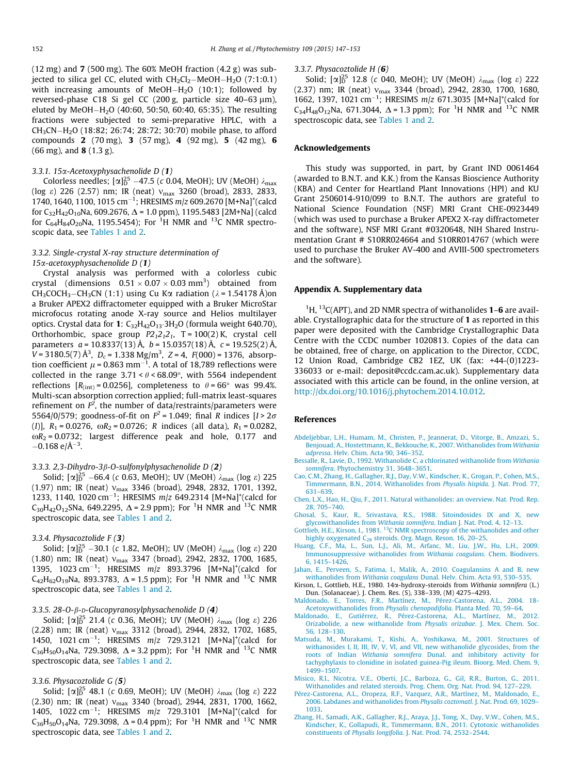<span id="page-5-0"></span> $(12 \text{ mg})$  and 7 (500 mg). The 60% MeOH fraction  $(4.2 \text{ g})$  was subjected to silica gel CC, eluted with  $\mathrm{CH_2Cl_2{-}MeOH{-}H_2O}$   $(7:1:0.1)$ with increasing amounts of MeOH-H2O (10:1); followed by reversed-phase C18 Si gel CC (200 g, particle size 40-63 µm), eluted by MeOH $-\rm H_{2}O$  (40:60, 50:50, 60:40, 65:35). The resulting fractions were subjected to semi-preparative HPLC, with a  $\rm CH_3CN\rm -H_2O$  (18:82; 26:74; 28:72; 30:70) mobile phase, to afford compounds 2 (70 mg), 3 (57 mg), 4 (92 mg), 5 (42 mg), 6  $(66 \text{ mg})$ , and **8**  $(1.3 \text{ g})$ .

## 3.3.1. 15a-Acetoxyphysachenolide D (1)

Colorless needles;  $[\alpha]_{D}^{25}$  –47.5 (c 0.04, MeOH); UV (MeOH)  $\lambda_{\max}$ (log  $\varepsilon$ ) 226 (2.57) nm; IR (neat)  $v_{\text{max}}$  3260 (broad), 2833, 2833, 1740, 1640, 1100, 1015 cm<sup>-1</sup>; HRESIMS  $m/z$  609.2670 [M+Na]<sup>+</sup>(calcd for  $C_{32}H_{42}O_{10}$ Na, 609.2676,  $\Delta$  = 1.0 ppm), 1195.5483 [2M+Na] (calcd for C $_{64}$ H $_{84}$ O $_{20}$ Na, 1195.5454); For  $^1{\rm H}$  NMR and  $^{13}{\rm C}$  NMR spectroscopic data, see [Tables 1 and 2](#page-1-0).

# 3.3.2. Single-crystal X-ray structure determination of  $15\alpha$ -acetoxyphysachenolide D (1)

Crystal analysis was performed with a colorless cubic crystal (dimensions  $0.51 \times 0.07 \times 0.03$  mm<sup>3</sup>) obtained from CH<sub>3</sub>COCH<sub>3</sub>–CH<sub>3</sub>CN (1:1) using Cu K $\alpha$  radiation ( $\lambda$  = 1.54178 Å)on a Bruker APEX2 diffractometer equipped with a Bruker MicroStar microfocus rotating anode X-ray source and Helios multilayer optics. Crystal data for 1:  $C_{32}H_{42}O_{13}$ : 3H<sub>2</sub>O (formula weight 640.70), Orthorhombic, space group  $P2_12_12_1$ , T = 100(2) K, crystal cell parameters  $a = 10.8337(13)$  Å,  $b = 15.0357(18)$  Å,  $c = 19.525(2)$  Å,  $V = 3180.5(7)$  Å<sup>3</sup>,  $D_c = 1.338$  Mg/m<sup>3</sup>,  $Z = 4$ ,  $F(000) = 1376$ , absorption coefficient  $\mu$  = 0.863 mm $^{-1}$ . A total of 18,789 reflections were collected in the range  $3.71 < \theta < 68.09^{\circ}$ , with 5564 independent reflections  $[R<sub>(int)</sub> = 0.0256]$ , completeness to  $\theta = 66^{\circ}$  was 99.4%. Multi-scan absorption correction applied; full-matrix least-squares refinement on  $F^2$ , the number of data/restraints/parameters were 5564/0/579; goodness-of-fit on  $F^2$  = 1.049; final R indices  $[I > 2\sigma]$ (I)],  $R_1 = 0.0276$ ,  $\omega R_2 = 0.0726$ ; R indices (all data),  $R_1 = 0.0282$ ,  $\omega R_2$  = 0.0732; largest difference peak and hole, 0.177 and  $-0.168$  e/Å<sup>-3</sup>.

## 3.3.3. 2,3-Dihydro-3 $\beta$ -O-sulfonylphysachenolide D (2)

Solid;  $[\alpha]_{D}^{25}$  –66.4 (c 0.63, MeOH); UV (MeOH)  $\lambda_{\max}$  (log  $\varepsilon$ ) 225  $(1.97)$  nm; IR (neat)  $v_{\text{max}}$  3346 (broad), 2948, 2832, 1701, 1392, 1233, 1140, 1020 cm<sup>-1</sup>; HRESIMS  $m/z$  649.2314 [M+Na]<sup>+</sup>(calcd for  $C_{30}H_{42}O_{12}$ SNa, 649.2295,  $\Delta$  = 2.9 ppm); For <sup>1</sup>H NMR and <sup>13</sup>C NMR spectroscopic data, see [Tables 1 and 2](#page-1-0).

## 3.3.4. Physacoztolide F (3)

Solid;  $[\alpha]_D^{25}$  –30.1 (c 1.82, MeOH); UV (MeOH)  $\lambda_{\text{max}}$  (log  $\varepsilon$ ) 220 (1.80) nm; IR (neat)  $v_{\text{max}}$  3347 (broad), 2942, 2832, 1700, 1685, 1395, 1023 cm<sup>-1</sup>; HRESIMS  $m/z$  893.3796 [M+Na]<sup>+</sup>(calcd for  $C_{42}H_{62}O_{19}$ Na, 893.3783,  $\Delta$  = 1.5 ppm); For <sup>1</sup>H NMR and <sup>13</sup>C NMR spectroscopic data, see [Tables 1 and 2](#page-1-0).

# 3.3.5. 28-O- $\beta$ -D-Glucopyranosylphysachenolide D (4)

Solid;  $[\alpha]_D^{25}$  21.4 (c 0.36, MeOH); UV (MeOH)  $\lambda_{\text{max}}$  (log  $\varepsilon$ ) 226 (2.28) nm; IR (neat)  $v_{\text{max}}$  3312 (broad), 2944, 2832, 1702, 1685, 1450, 1021 cm<sup>-1</sup>; HRESIMS  $m/z$  729.3121 [M+Na]<sup>+</sup>(calcd for  $C_{36}H_{50}O_{14}$ Na, 729.3098,  $\Delta$  = 3.2 ppm); For <sup>1</sup>H NMR and <sup>13</sup>C NMR spectroscopic data, see [Tables 1 and 2](#page-1-0).

# 3.3.6. Physacoztolide G (5)

Solid;  $[\alpha]_D^{25}$  48.1 (c 0.69, MeOH); UV (MeOH)  $\lambda_{\text{max}}$  (log  $\varepsilon$ ) 222 (2.30) nm; IR (neat)  $v_{\text{max}}$  3340 (broad), 2944, 2831, 1700, 1662, 1405, 1022 cm<sup>-1</sup>; HRESIMS  $m/z$  729.3101 [M+Na]<sup>+</sup>(calcd for  $C_{36}H_{50}O_{14}$ Na, 729.3098,  $\Delta$  = 0.4 ppm); For <sup>1</sup>H NMR and <sup>13</sup>C NMR spectroscopic data, see [Tables 1 and 2](#page-1-0).

#### 3.3.7. Physacoztolide H (6)

Solid;  $[\alpha]_D^{25}$  12.8 (c 040, MeOH); UV (MeOH)  $\lambda_{\text{max}}$  (log  $\varepsilon$ ) 222  $(2.37)$  nm; IR (neat)  $v_{\text{max}}$  3344 (broad), 2942, 2830, 1700, 1680, 1662, 1397, 1021 cm<sup>-1</sup>; HRESIMS  $m/z$  671.3035 [M+Na]<sup>+</sup>(calcd for  $C_{34}H_{48}O_{12}$ Na, 671.3044,  $\Delta$  = 1.3 ppm); For <sup>1</sup>H NMR and <sup>13</sup>C NMR spectroscopic data, see [Tables 1 and 2](#page-1-0).

## Acknowledgements

This study was supported, in part, by Grant IND 0061464 (awarded to B.N.T. and K.K.) from the Kansas Bioscience Authority (KBA) and Center for Heartland Plant Innovations (HPI) and KU Grant 2506014-910/099 to B.N.T. The authors are grateful to National Science Foundation (NSF) MRI Grant CHE-0923449 (which was used to purchase a Bruker APEX2 X-ray diffractometer and the software), NSF MRI Grant #0320648, NIH Shared Instrumentation Grant # S10RR024664 and S10RR014767 (which were used to purchase the Bruker AV-400 and AVIII-500 spectrometers and the software).

## Appendix A. Supplementary data

 ${}^{1}$ H,  ${}^{13}$ C(APT), and 2D NMR spectra of withanolides **1–6** are available. Crystallographic data for the structure of 1 as reported in this paper were deposited with the Cambridge Crystallographic Data Centre with the CCDC number 1020813. Copies of the data can be obtained, free of charge, on application to the Director, CCDC, 12 Union Road, Cambridge CB2 1EZ, UK (fax: +44-(0)1223- 336033 or e-mail: deposit@ccdc.cam.ac.uk). Supplementary data associated with this article can be found, in the online version, at <http://dx.doi.org/10.1016/j.phytochem.2014.10.012>.

#### References

- [Abdeljebbar, L.H., Humam, M., Christen, P., Jeannerat, D., Vitorge, B., Amzazi, S.,](http://refhub.elsevier.com/S0031-9422(14)00416-6/h0005) [Benjouad, A., Hostettmann, K., Bekkouche, K., 2007. Withanolides from](http://refhub.elsevier.com/S0031-9422(14)00416-6/h0005) Withania adpressa[. Helv. Chim. Acta 90, 346–352](http://refhub.elsevier.com/S0031-9422(14)00416-6/h0005).
- [Bessalle, R., Lavie, D., 1992. Withanolide C, a chlorinated withanolide from](http://refhub.elsevier.com/S0031-9422(14)00416-6/h0010) Withania somnifera[. Phytochemistry 31, 3648–3651](http://refhub.elsevier.com/S0031-9422(14)00416-6/h0010).
- [Cao, C.M., Zhang, H., Gallagher, R.J., Day, V.W., Kindscher, K., Grogan, P., Cohen, M.S.,](http://refhub.elsevier.com/S0031-9422(14)00416-6/h0015) [Timmermann, B.N., 2014. Withanolides from](http://refhub.elsevier.com/S0031-9422(14)00416-6/h0015) Physalis hispida. J. Nat. Prod. 77, [631–639](http://refhub.elsevier.com/S0031-9422(14)00416-6/h0015).
- [Chen, L.X., Hao, H., Qiu, F., 2011. Natural withanolides: an overview. Nat. Prod. Rep.](http://refhub.elsevier.com/S0031-9422(14)00416-6/h0020) [28, 705–740](http://refhub.elsevier.com/S0031-9422(14)00416-6/h0020).
- [Ghosal, S., Kaur, R., Srivastava, R.S., 1988. Sitoindosides IX and X, new](http://refhub.elsevier.com/S0031-9422(14)00416-6/h0025) glycowithanolides from Withania somnifera[. Indian J. Nat. Prod. 4, 12–13](http://refhub.elsevier.com/S0031-9422(14)00416-6/h0025).<br>[Gottlieb,](http://refhub.elsevier.com/S0031-9422(14)00416-6/h0030) [H.E.,](http://refhub.elsevier.com/S0031-9422(14)00416-6/h0030) [Kirson,](http://refhub.elsevier.com/S0031-9422(14)00416-6/h0030) [I.,](http://refhub.elsevier.com/S0031-9422(14)00416-6/h0030) [1981.](http://refhub.elsevier.com/S0031-9422(14)00416-6/h0030) <sup>13</sup>[C NMR spectroscopy of the withanolides and other](http://refhub.elsevier.com/S0031-9422(14)00416-6/h0030)
- highly oxygenated C<sub>28</sub> steroids. Org. Magn. Reson. 16, 20-25.
- [Huang, C.F., Ma, L., Sun, L.J., Ali, M., Arfanc, M., Liu, J.W., Hu, L.H., 2009.](http://refhub.elsevier.com/S0031-9422(14)00416-6/h0035) [Immunosuppressive withanolides from](http://refhub.elsevier.com/S0031-9422(14)00416-6/h0035) Withania coagulans. Chem. Biodivers. [6, 1415–1426](http://refhub.elsevier.com/S0031-9422(14)00416-6/h0035).
- [Jahan, E., Perveen, S., Fatima, I., Malik, A., 2010. Coagulansins A and B, new](http://refhub.elsevier.com/S0031-9422(14)00416-6/h0040) withanolides from Withania coagulans [Dunal. Helv. Chim. Acta 93, 530–535.](http://refhub.elsevier.com/S0031-9422(14)00416-6/h0040)
- Kirson, I., Gottlieb, H.E., 1980. 14a-hydroxy-steroids from Withania somnifera (L.) Dun. (Solanaceae). J. Chem. Res. (S), 338–339, (M) 4275–4293.
- [Maldonado, E., Torres, F.R., Martínez, M., Pérez-Castorena, A.L., 2004. 18-](http://refhub.elsevier.com/S0031-9422(14)00416-6/h0050) [Acetoxywithanolides from](http://refhub.elsevier.com/S0031-9422(14)00416-6/h0050) Physalis chenopodifolia. Planta Med. 70, 59–64.
- [Maldonado, E., Gutiérrez, R., Pérez-Castorena, A.L., Martínez, M., 2012.](http://refhub.elsevier.com/S0031-9422(14)00416-6/h0055) [Orizabolide, a new withanolide from](http://refhub.elsevier.com/S0031-9422(14)00416-6/h0055) Physalis orizabae. J. Mex. Chem. Soc. [56, 128–130](http://refhub.elsevier.com/S0031-9422(14)00416-6/h0055).
- [Matsuda, M., Murakami, T., Kishi, A., Yoshikawa, M., 2001. Structures of](http://refhub.elsevier.com/S0031-9422(14)00416-6/h0060) [withanosides I, II, III, IV, V, VI, and VII, new withanolide glycosides, from the](http://refhub.elsevier.com/S0031-9422(14)00416-6/h0060) roots of Indian Withania somnifera [Dunal. and inhibitory activity for](http://refhub.elsevier.com/S0031-9422(14)00416-6/h0060) [tachyphylaxis to clonidine in isolated guinea-Pig ileum. Bioorg. Med. Chem. 9,](http://refhub.elsevier.com/S0031-9422(14)00416-6/h0060) [1499–1507.](http://refhub.elsevier.com/S0031-9422(14)00416-6/h0060)
- [Misico, R.I., Nicotra, V.E., Oberti, J.C., Barboza, G., Gil, R.R., Burton, G., 2011.](http://refhub.elsevier.com/S0031-9422(14)00416-6/h0065) [Withanolides and related steroids. Prog. Chem. Org. Nat. Prod. 94, 127–229](http://refhub.elsevier.com/S0031-9422(14)00416-6/h0065).
- [Pérez-Castorena, A.L., Oropeza, R.F., Vazquez, A.R., Martínez, M., Maldonado, E.,](http://refhub.elsevier.com/S0031-9422(14)00416-6/h0075) [2006. Labdanes and withanolides from](http://refhub.elsevier.com/S0031-9422(14)00416-6/h0075) Physalis coztomatl. J. Nat. Prod. 69, 1029– [1033.](http://refhub.elsevier.com/S0031-9422(14)00416-6/h0075)
- [Zhang, H., Samadi, A.K., Gallagher, R.J., Araya, J.J., Tong, X., Day, V.W., Cohen, M.S.,](http://refhub.elsevier.com/S0031-9422(14)00416-6/h0080) [Kindscher, K., Gollapudi, R., Timmermann, B.N., 2011. Cytotoxic withanolides](http://refhub.elsevier.com/S0031-9422(14)00416-6/h0080) constituents of Physalis longifolia[. J. Nat. Prod. 74, 2532–2544.](http://refhub.elsevier.com/S0031-9422(14)00416-6/h0080)